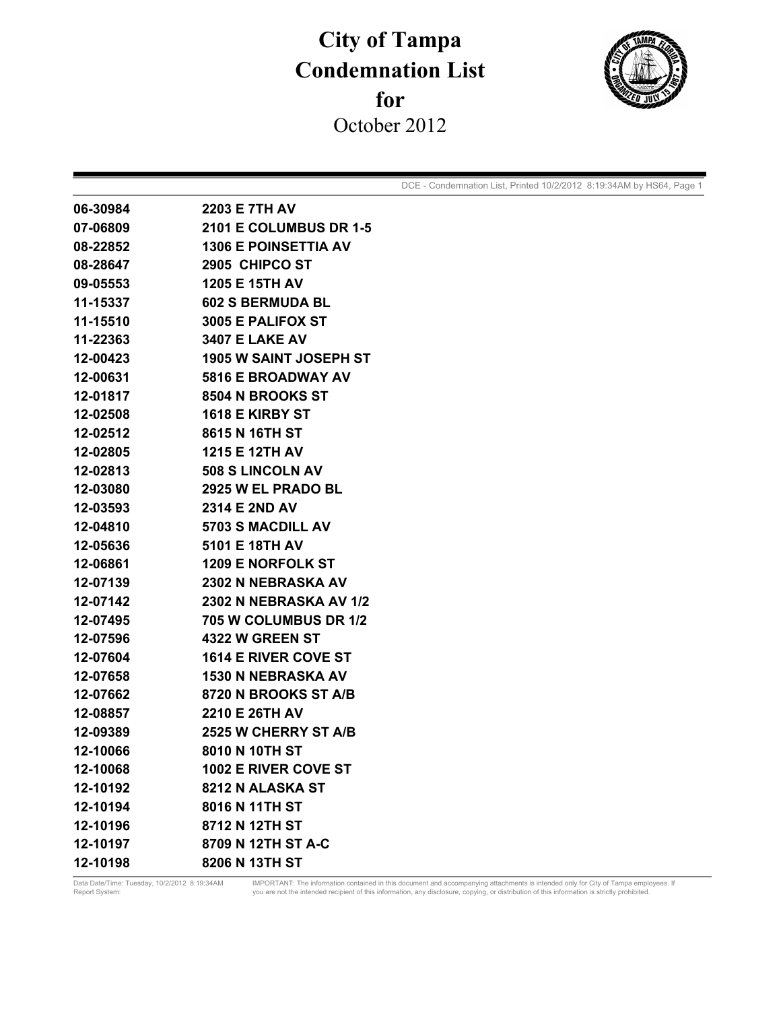## **City of Tampa Condemnation List for**  October 2012



DCE - Condemnation List, Printed 10/2/2012 8:19:34AM by HS64, Page 1

| 06-30984 | 2203 E 7TH AV                 |
|----------|-------------------------------|
| 07-06809 | <b>2101 E COLUMBUS DR 1-5</b> |
| 08-22852 | <b>1306 E POINSETTIA AV</b>   |
| 08-28647 | 2905 CHIPCO ST                |
| 09-05553 | <b>1205 E 15TH AV</b>         |
| 11-15337 | <b>602 S BERMUDA BL</b>       |
| 11-15510 | 3005 E PALIFOX ST             |
| 11-22363 | <b>3407 E LAKE AV</b>         |
| 12-00423 | <b>1905 W SAINT JOSEPH ST</b> |
| 12-00631 | <b>5816 E BROADWAY AV</b>     |
| 12-01817 | 8504 N BROOKS ST              |
| 12-02508 | <b>1618 E KIRBY ST</b>        |
| 12-02512 | 8615 N 16TH ST                |
| 12-02805 | 1215 E 12TH AV                |
| 12-02813 | <b>508 S LINCOLN AV</b>       |
| 12-03080 | 2925 W EL PRADO BL            |
| 12-03593 | 2314 E 2ND AV                 |
| 12-04810 | 5703 S MACDILL AV             |
| 12-05636 | 5101 E 18TH AV                |
| 12-06861 | <b>1209 E NORFOLK ST</b>      |
| 12-07139 | 2302 N NEBRASKA AV            |
| 12-07142 | 2302 N NEBRASKA AV 1/2        |
| 12-07495 | 705 W COLUMBUS DR 1/2         |
| 12-07596 | <b>4322 W GREEN ST</b>        |
| 12-07604 | 1614 E RIVER COVE ST          |
| 12-07658 | <b>1530 N NEBRASKA AV</b>     |
| 12-07662 | 8720 N BROOKS ST A/B          |
| 12-08857 | 2210 E 26TH AV                |
| 12-09389 | 2525 W CHERRY ST A/B          |
| 12-10066 | 8010 N 10TH ST                |
| 12-10068 | 1002 E RIVER COVE ST          |
| 12-10192 | 8212 N ALASKA ST              |
| 12-10194 | 8016 N 11TH ST                |
| 12-10196 | 8712 N 12TH ST                |
| 12-10197 | 8709 N 12TH ST A-C            |
| 12-10198 | 8206 N 13TH ST                |

Data Date/Time: Tuesday, 10/2/2012 8:19:34AM MPORTANT: The information contained in this document and accompanying attachments is intended only for City of Tampa employees. If<br>Report System: vestrion is strictly prohibited